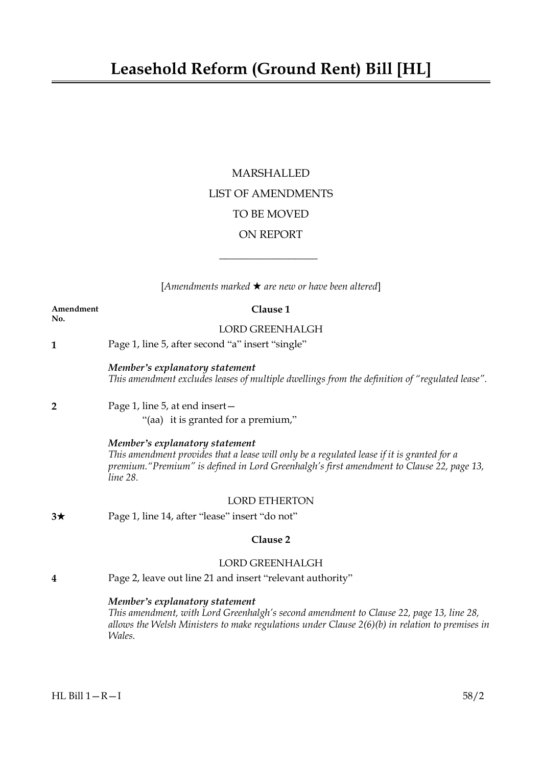# MARSHALLED LIST OF AMENDMENTS TO BE MOVED ON REPORT

[*Amendments marked* \* *are new or have been altered*]

 $\overline{\phantom{a}}$  , where  $\overline{\phantom{a}}$ 

|                  | $\left[$ Amenuments murked $\star$ are new or nave been atternal                                                                                                                                                                        |
|------------------|-----------------------------------------------------------------------------------------------------------------------------------------------------------------------------------------------------------------------------------------|
| Amendment<br>No. | Clause 1                                                                                                                                                                                                                                |
|                  | LORD GREENHALGH                                                                                                                                                                                                                         |
| $\mathbf{1}$     | Page 1, line 5, after second "a" insert "single"                                                                                                                                                                                        |
|                  | Member's explanatory statement<br>This amendment excludes leases of multiple dwellings from the definition of "regulated lease".                                                                                                        |
| $\overline{2}$   | Page 1, line 5, at end insert-<br>"(aa) it is granted for a premium,"                                                                                                                                                                   |
|                  | Member's explanatory statement<br>This amendment provides that a lease will only be a regulated lease if it is granted for a<br>premium. "Premium" is defined in Lord Greenhalgh's first amendment to Clause 22, page 13,<br>line 28.   |
|                  | <b>LORD ETHERTON</b>                                                                                                                                                                                                                    |
| $3\star$         | Page 1, line 14, after "lease" insert "do not"                                                                                                                                                                                          |
|                  | Clause 2                                                                                                                                                                                                                                |
|                  | <b>LORD GREENHALGH</b>                                                                                                                                                                                                                  |
| 4                | Page 2, leave out line 21 and insert "relevant authority"                                                                                                                                                                               |
|                  | Member's explanatory statement<br>This amendment, with Lord Greenhalgh's second amendment to Clause 22, page 13, line 28,<br>allows the Welsh Ministers to make regulations under Clause $2(6)(b)$ in relation to premises in<br>Wales. |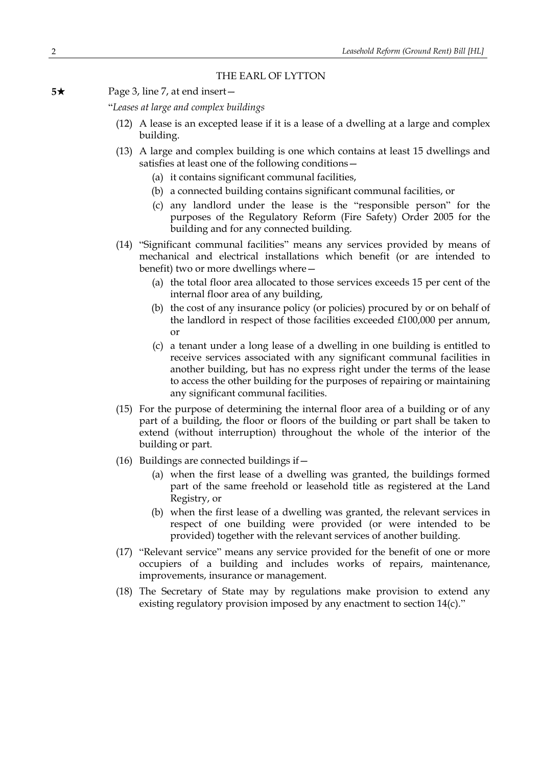# THE EARL OF LYTTON

**5**★ Page 3, line 7, at end insert—

"*Leases at large and complex buildings*

- (12) A lease is an excepted lease if it is a lease of a dwelling at a large and complex building.
- (13) A large and complex building is one which contains at least 15 dwellings and satisfies at least one of the following conditions—
	- (a) it contains significant communal facilities,
	- (b) a connected building contains significant communal facilities, or
	- (c) any landlord under the lease is the "responsible person" for the purposes of the Regulatory Reform (Fire Safety) Order 2005 for the building and for any connected building.
- (14) "Significant communal facilities" means any services provided by means of mechanical and electrical installations which benefit (or are intended to benefit) two or more dwellings where—
	- (a) the total floor area allocated to those services exceeds 15 per cent of the internal floor area of any building,
	- (b) the cost of any insurance policy (or policies) procured by or on behalf of the landlord in respect of those facilities exceeded £100,000 per annum, or
	- (c) a tenant under a long lease of a dwelling in one building is entitled to receive services associated with any significant communal facilities in another building, but has no express right under the terms of the lease to access the other building for the purposes of repairing or maintaining any significant communal facilities.
- (15) For the purpose of determining the internal floor area of a building or of any part of a building, the floor or floors of the building or part shall be taken to extend (without interruption) throughout the whole of the interior of the building or part.
- (16) Buildings are connected buildings if—
	- (a) when the first lease of a dwelling was granted, the buildings formed part of the same freehold or leasehold title as registered at the Land Registry, or
	- (b) when the first lease of a dwelling was granted, the relevant services in respect of one building were provided (or were intended to be provided) together with the relevant services of another building.
- (17) "Relevant service" means any service provided for the benefit of one or more occupiers of a building and includes works of repairs, maintenance, improvements, insurance or management.
- (18) The Secretary of State may by regulations make provision to extend any existing regulatory provision imposed by any enactment to section 14(c)."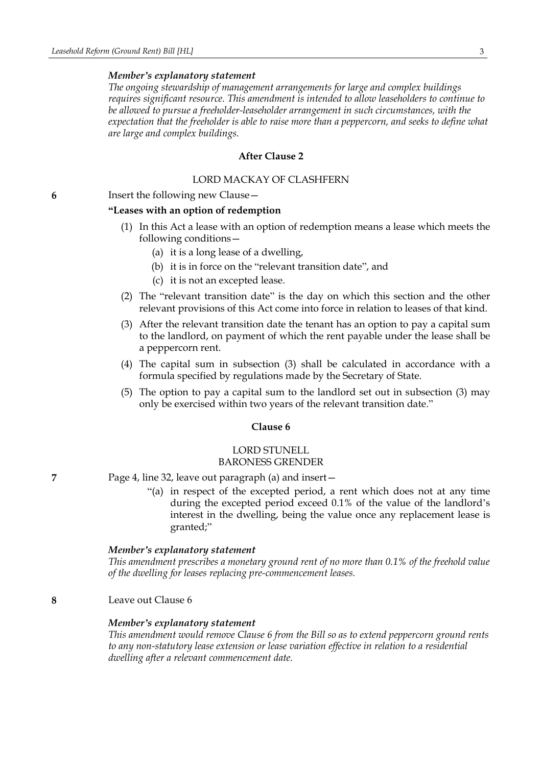### *Member's explanatory statement*

*The ongoing stewardship of management arrangements for large and complex buildings requires significant resource. This amendment is intended to allow leaseholders to continue to be allowed to pursue a freeholder-leaseholder arrangement in such circumstances, with the expectation that the freeholder is able to raise more than a peppercorn, and seeks to define what are large and complex buildings.*

# **After Clause 2**

# LORD MACKAY OF CLASHFERN

**6** Insert the following new Clause—

### **"Leases with an option of redemption**

- (1) In this Act a lease with an option of redemption means a lease which meets the following conditions—
	- (a) it is a long lease of a dwelling,
	- (b) it is in force on the "relevant transition date", and
	- (c) it is not an excepted lease.
- (2) The "relevant transition date" is the day on which this section and the other relevant provisions of this Act come into force in relation to leases of that kind.
- (3) After the relevant transition date the tenant has an option to pay a capital sum to the landlord, on payment of which the rent payable under the lease shall be a peppercorn rent.
- (4) The capital sum in subsection (3) shall be calculated in accordance with a formula specified by regulations made by the Secretary of State.
- (5) The option to pay a capital sum to the landlord set out in subsection (3) may only be exercised within two years of the relevant transition date."

### **Clause 6**

# LORD STUNELL BARONESS GRENDER

- **7** Page 4, line 32, leave out paragraph (a) and insert—
	- "(a) in respect of the excepted period, a rent which does not at any time during the excepted period exceed 0.1% of the value of the landlord's interest in the dwelling, being the value once any replacement lease is granted;"

### *Member's explanatory statement*

*This amendment prescribes a monetary ground rent of no more than 0.1% of the freehold value of the dwelling for leases replacing pre-commencement leases.*

**8** Leave out Clause 6

### *Member's explanatory statement*

*This amendment would remove Clause 6 from the Bill so as to extend peppercorn ground rents to any non-statutory lease extension or lease variation effective in relation to a residential dwelling after a relevant commencement date.*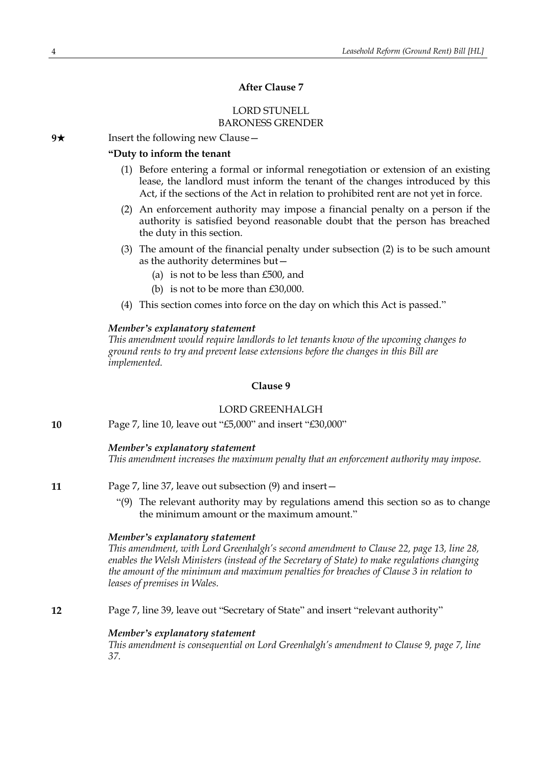# **After Clause 7**

# LORD STUNELL BARONESS GRENDER

**9**★ Insert the following new Clause

# **"Duty to inform the tenant**

- (1) Before entering a formal or informal renegotiation or extension of an existing lease, the landlord must inform the tenant of the changes introduced by this Act, if the sections of the Act in relation to prohibited rent are not yet in force.
- (2) An enforcement authority may impose a financial penalty on a person if the authority is satisfied beyond reasonable doubt that the person has breached the duty in this section.
- (3) The amount of the financial penalty under subsection (2) is to be such amount as the authority determines but—
	- (a) is not to be less than £500, and
	- (b) is not to be more than £30,000.
- (4) This section comes into force on the day on which this Act is passed."

### *Member's explanatory statement*

*This amendment would require landlords to let tenants know of the upcoming changes to ground rents to try and prevent lease extensions before the changes in this Bill are implemented.*

# **Clause 9**

# LORD GREENHALGH

**10** Page 7, line 10, leave out "£5,000" and insert "£30,000"

# *Member's explanatory statement*

*This amendment increases the maximum penalty that an enforcement authority may impose.*

- **11** Page 7, line 37, leave out subsection (9) and insert—
	- "(9) The relevant authority may by regulations amend this section so as to change the minimum amount or the maximum amount."

# *Member's explanatory statement*

*This amendment, with Lord Greenhalgh's second amendment to Clause 22, page 13, line 28, enables the Welsh Ministers (instead of the Secretary of State) to make regulations changing the amount of the minimum and maximum penalties for breaches of Clause 3 in relation to leases of premises in Wales.*

**12** Page 7, line 39, leave out "Secretary of State" and insert "relevant authority"

### *Member's explanatory statement*

*This amendment is consequential on Lord Greenhalgh's amendment to Clause 9, page 7, line 37.*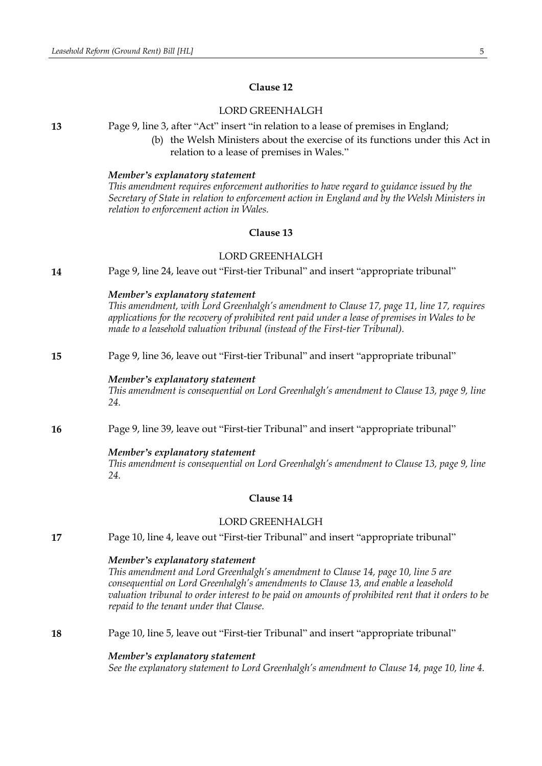# **Clause 12**

# LORD GREENHALGH

**13** Page 9, line 3, after "Act" insert "in relation to a lease of premises in England;

(b) the Welsh Ministers about the exercise of its functions under this Act in relation to a lease of premises in Wales."

#### *Member's explanatory statement*

*This amendment requires enforcement authorities to have regard to guidance issued by the Secretary of State in relation to enforcement action in England and by the Welsh Ministers in relation to enforcement action in Wales.*

### **Clause 13**

# LORD GREENHALGH

**14** Page 9, line 24, leave out "First-tier Tribunal" and insert "appropriate tribunal"

# *Member's explanatory statement*

*This amendment, with Lord Greenhalgh's amendment to Clause 17, page 11, line 17, requires applications for the recovery of prohibited rent paid under a lease of premises in Wales to be made to a leasehold valuation tribunal (instead of the First-tier Tribunal).*

# **15** Page 9, line 36, leave out "First-tier Tribunal" and insert "appropriate tribunal"

#### *Member's explanatory statement*

*This amendment is consequential on Lord Greenhalgh's amendment to Clause 13, page 9, line 24.*

**16** Page 9, line 39, leave out "First-tier Tribunal" and insert "appropriate tribunal"

# *Member's explanatory statement*

*This amendment is consequential on Lord Greenhalgh's amendment to Clause 13, page 9, line 24.*

# **Clause 14**

# LORD GREENHALGH

**17** Page 10, line 4, leave out "First-tier Tribunal" and insert "appropriate tribunal"

### *Member's explanatory statement*

*This amendment and Lord Greenhalgh's amendment to Clause 14, page 10, line 5 are consequential on Lord Greenhalgh's amendments to Clause 13, and enable a leasehold valuation tribunal to order interest to be paid on amounts of prohibited rent that it orders to be repaid to the tenant under that Clause.*

# **18** Page 10, line 5, leave out "First-tier Tribunal" and insert "appropriate tribunal"

#### *Member's explanatory statement*

*See the explanatory statement to Lord Greenhalgh's amendment to Clause 14, page 10, line 4.*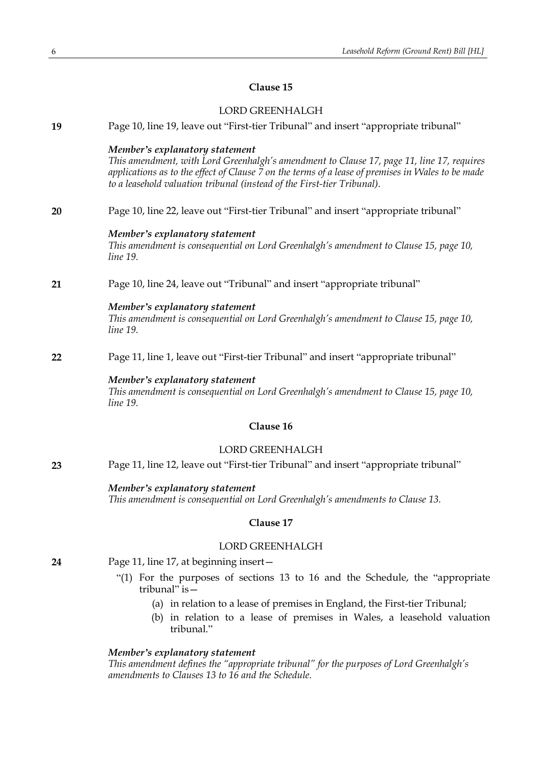# **Clause 15**

# LORD GREENHALGH

| 19        | Page 10, line 19, leave out "First-tier Tribunal" and insert "appropriate tribunal"                                                                                                                                                                                                                         |  |
|-----------|-------------------------------------------------------------------------------------------------------------------------------------------------------------------------------------------------------------------------------------------------------------------------------------------------------------|--|
|           | Member's explanatory statement<br>This amendment, with Lord Greenhalgh's amendment to Clause 17, page 11, line 17, requires<br>applications as to the effect of Clause 7 on the terms of a lease of premises in Wales to be made<br>to a leasehold valuation tribunal (instead of the First-tier Tribunal). |  |
| 20        | Page 10, line 22, leave out "First-tier Tribunal" and insert "appropriate tribunal"                                                                                                                                                                                                                         |  |
|           | Member's explanatory statement<br>This amendment is consequential on Lord Greenhalgh's amendment to Clause 15, page 10,<br>line 19.                                                                                                                                                                         |  |
| 21        | Page 10, line 24, leave out "Tribunal" and insert "appropriate tribunal"                                                                                                                                                                                                                                    |  |
|           | Member's explanatory statement<br>This amendment is consequential on Lord Greenhalgh's amendment to Clause 15, page 10,<br><i>line</i> 19.                                                                                                                                                                  |  |
| 22        | Page 11, line 1, leave out "First-tier Tribunal" and insert "appropriate tribunal"                                                                                                                                                                                                                          |  |
|           | Member's explanatory statement<br>This amendment is consequential on Lord Greenhalgh's amendment to Clause 15, page 10,<br>line 19.                                                                                                                                                                         |  |
| Clause 16 |                                                                                                                                                                                                                                                                                                             |  |
|           | <b>LORD GREENHALGH</b>                                                                                                                                                                                                                                                                                      |  |
| 23        | Page 11, line 12, leave out "First-tier Tribunal" and insert "appropriate tribunal"                                                                                                                                                                                                                         |  |
|           | Member's explanatory statement<br>This amendment is consequential on Lord Greenhalgh's amendments to Clause 13.                                                                                                                                                                                             |  |
|           | Clause 17                                                                                                                                                                                                                                                                                                   |  |
|           | <b>LORD GREENHALGH</b>                                                                                                                                                                                                                                                                                      |  |
| 24        | Page 11, line 17, at beginning insert-                                                                                                                                                                                                                                                                      |  |
|           | "(1) For the purposes of sections 13 to 16 and the Schedule, the "appropriate"<br>tribunal" is $-$                                                                                                                                                                                                          |  |
|           | (a) in relation to a lease of premises in England, the First-tier Tribunal;                                                                                                                                                                                                                                 |  |

(b) in relation to a lease of premises in Wales, a leasehold valuation tribunal."

# *Member's explanatory statement*

*This amendment defines the "appropriate tribunal" for the purposes of Lord Greenhalgh's amendments to Clauses 13 to 16 and the Schedule.*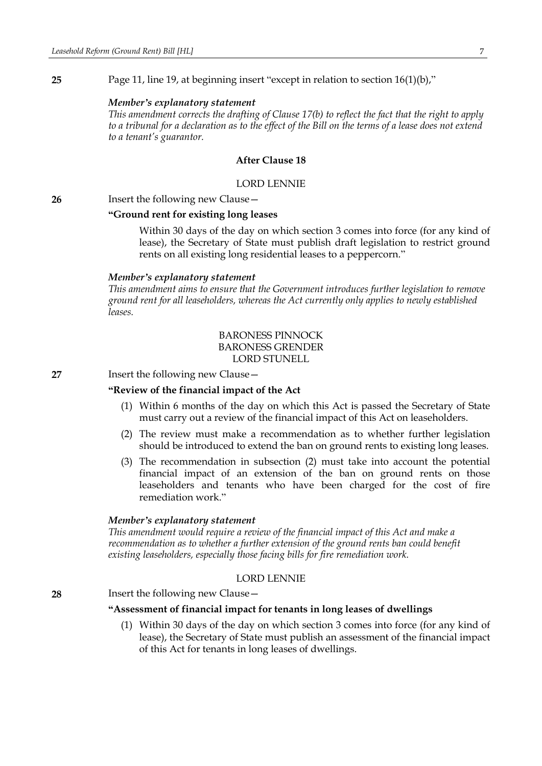**25** Page 11, line 19, at beginning insert "except in relation to section 16(1)(b),"

#### *Member's explanatory statement*

*This amendment corrects the drafting of Clause 17(b) to reflect the fact that the right to apply* to a tribunal for a declaration as to the effect of the Bill on the terms of a lease does not extend *to a tenant's guarantor.*

#### **After Clause 18**

### LORD LENNIE

**26** Insert the following new Clause—

### **"Ground rent for existing long leases**

Within 30 days of the day on which section 3 comes into force (for any kind of lease), the Secretary of State must publish draft legislation to restrict ground rents on all existing long residential leases to a peppercorn."

#### *Member's explanatory statement*

*This amendment aims to ensure that the Government introduces further legislation to remove ground rent for all leaseholders, whereas the Act currently only applies to newly established leases.*

# BARONESS PINNOCK BARONESS GRENDER LORD STUNELL

**27** Insert the following new Clause—

# **"Review of the financial impact of the Act**

- (1) Within 6 months of the day on which this Act is passed the Secretary of State must carry out a review of the financial impact of this Act on leaseholders.
- (2) The review must make a recommendation as to whether further legislation should be introduced to extend the ban on ground rents to existing long leases.
- (3) The recommendation in subsection (2) must take into account the potential financial impact of an extension of the ban on ground rents on those leaseholders and tenants who have been charged for the cost of fire remediation work."

#### *Member's explanatory statement*

*This amendment would require a review of the financial impact of this Act and make a recommendation as to whether a further extension of the ground rents ban could benefit existing leaseholders, especially those facing bills for fire remediation work.*

### LORD LENNIE

**28** Insert the following new Clause—

#### **"Assessment of financial impact for tenants in long leases of dwellings**

(1) Within 30 days of the day on which section 3 comes into force (for any kind of lease), the Secretary of State must publish an assessment of the financial impact of this Act for tenants in long leases of dwellings.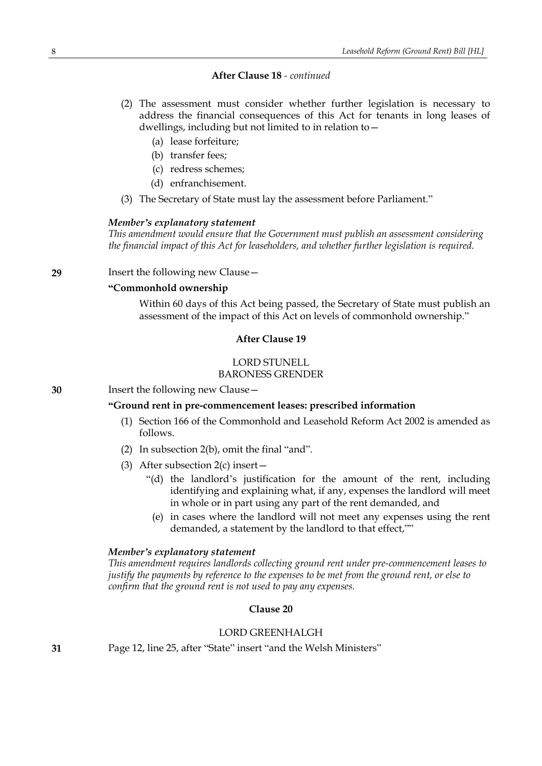# **After Clause 18** *- continued*

- (2) The assessment must consider whether further legislation is necessary to address the financial consequences of this Act for tenants in long leases of dwellings, including but not limited to in relation to—
	- (a) lease forfeiture;
	- (b) transfer fees;
	- (c) redress schemes;
	- (d) enfranchisement.
- (3) The Secretary of State must lay the assessment before Parliament."

### *Member's explanatory statement*

*This amendment would ensure that the Government must publish an assessment considering the financial impact of this Act for leaseholders, and whether further legislation is required.*

**29** Insert the following new Clause—

# **"Commonhold ownership**

Within 60 days of this Act being passed, the Secretary of State must publish an assessment of the impact of this Act on levels of commonhold ownership."

### **After Clause 19**

# LORD STUNELL BARONESS GRENDER

**30** Insert the following new Clause—

# **"Ground rent in pre-commencement leases: prescribed information**

- (1) Section 166 of the Commonhold and Leasehold Reform Act 2002 is amended as follows.
- (2) In subsection 2(b), omit the final "and".
- (3) After subsection 2(c) insert—
	- "(d) the landlord's justification for the amount of the rent, including identifying and explaining what, if any, expenses the landlord will meet in whole or in part using any part of the rent demanded, and
	- (e) in cases where the landlord will not meet any expenses using the rent demanded, a statement by the landlord to that effect,""

# *Member's explanatory statement*

*This amendment requires landlords collecting ground rent under pre-commencement leases to justify the payments by reference to the expenses to be met from the ground rent, or else to confirm that the ground rent is not used to pay any expenses.*

# **Clause 20**

# LORD GREENHALGH

**31** Page 12, line 25, after "State" insert "and the Welsh Ministers"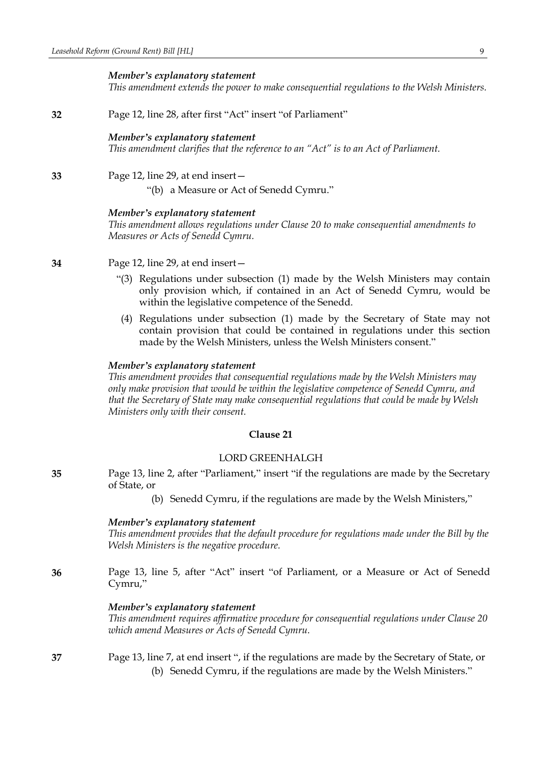#### *Member's explanatory statement*

*This amendment extends the power to make consequential regulations to the Welsh Ministers.*

**32** Page 12, line 28, after first "Act" insert "of Parliament"

### *Member's explanatory statement*

*This amendment clarifies that the reference to an "Act" is to an Act of Parliament.*

# **33** Page 12, line 29, at end insert—

"(b) a Measure or Act of Senedd Cymru."

#### *Member's explanatory statement*

*This amendment allows regulations under Clause 20 to make consequential amendments to Measures or Acts of Senedd Cymru.*

- **34** Page 12, line 29, at end insert—
	- "(3) Regulations under subsection (1) made by the Welsh Ministers may contain only provision which, if contained in an Act of Senedd Cymru, would be within the legislative competence of the Senedd.
	- (4) Regulations under subsection (1) made by the Secretary of State may not contain provision that could be contained in regulations under this section made by the Welsh Ministers, unless the Welsh Ministers consent."

### *Member's explanatory statement*

*This amendment provides that consequential regulations made by the Welsh Ministers may only make provision that would be within the legislative competence of Senedd Cymru, and that the Secretary of State may make consequential regulations that could be made by Welsh Ministers only with their consent.*

### **Clause 21**

### LORD GREENHALGH

**35** Page 13, line 2, after "Parliament," insert "if the regulations are made by the Secretary of State, or

(b) Senedd Cymru, if the regulations are made by the Welsh Ministers,"

#### *Member's explanatory statement*

*This amendment provides that the default procedure for regulations made under the Bill by the Welsh Ministers is the negative procedure.*

**36** Page 13, line 5, after "Act" insert "of Parliament, or a Measure or Act of Senedd Cymru,"

### *Member's explanatory statement*

*This amendment requires affirmative procedure for consequential regulations under Clause 20 which amend Measures or Acts of Senedd Cymru.*

**37** Page 13, line 7, at end insert ", if the regulations are made by the Secretary of State, or (b) Senedd Cymru, if the regulations are made by the Welsh Ministers."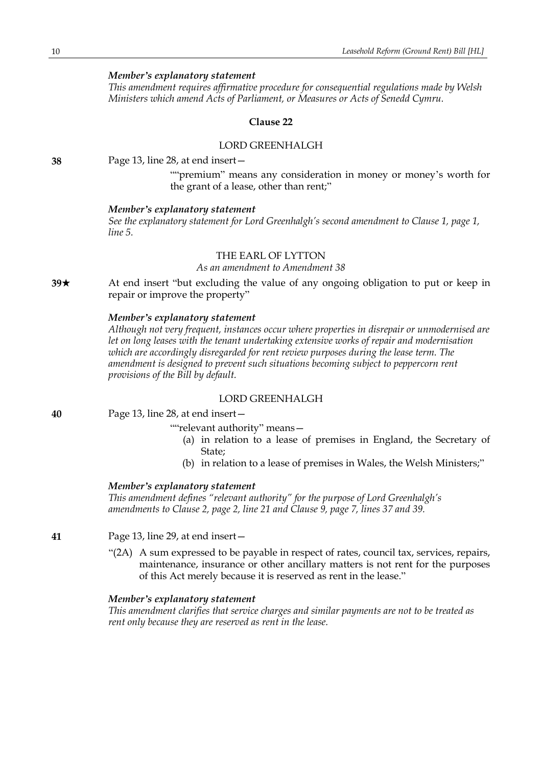# *Member's explanatory statement*

*This amendment requires affirmative procedure for consequential regulations made by Welsh Ministers which amend Acts of Parliament, or Measures or Acts of Senedd Cymru.*

### **Clause 22**

# LORD GREENHALGH

**38** Page 13, line 28, at end insert—

""premium" means any consideration in money or money's worth for the grant of a lease, other than rent;"

#### *Member's explanatory statement*

*See the explanatory statement for Lord Greenhalgh's second amendment to Clause 1, page 1, line 5.*

### THE EARL OF LYTTON

*As an amendment to Amendment 38*

**39**\* At end insert "but excluding the value of any ongoing obligation to put or keep in repair or improve the property"

# *Member's explanatory statement*

*Although not very frequent, instances occur where properties in disrepair or unmodernised are let on long leases with the tenant undertaking extensive works of repair and modernisation which are accordingly disregarded for rent review purposes during the lease term. The amendment is designed to prevent such situations becoming subject to peppercorn rent provisions of the Bill by default.*

### LORD GREENHALGH

Page 13, line 28, at end insert—

- ""relevant authority" means—
	- (a) in relation to a lease of premises in England, the Secretary of State;
	- (b) in relation to a lease of premises in Wales, the Welsh Ministers;"

#### *Member's explanatory statement*

*This amendment defines "relevant authority" for the purpose of Lord Greenhalgh's amendments to Clause 2, page 2, line 21 and Clause 9, page 7, lines 37 and 39.*

**41** Page 13, line 29, at end insert—

"(2A) A sum expressed to be payable in respect of rates, council tax, services, repairs, maintenance, insurance or other ancillary matters is not rent for the purposes of this Act merely because it is reserved as rent in the lease."

### *Member's explanatory statement*

*This amendment clarifies that service charges and similar payments are not to be treated as rent only because they are reserved as rent in the lease.*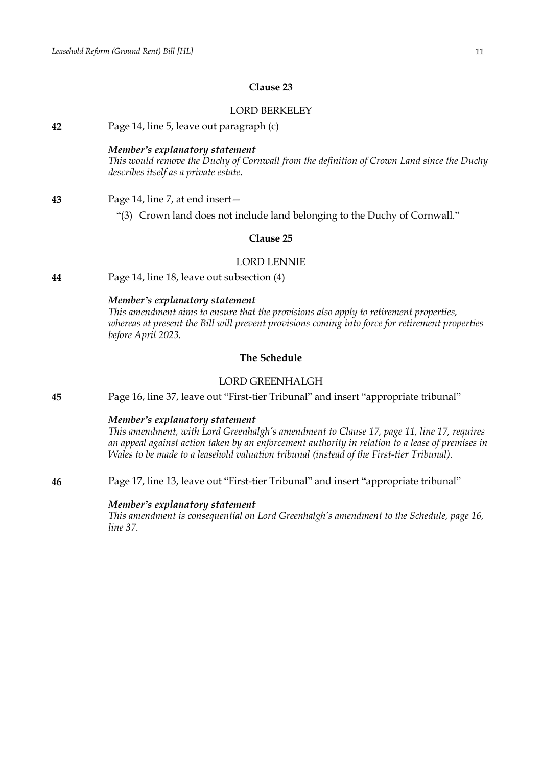# **Clause 23**

# LORD BERKELEY

**42** Page 14, line 5, leave out paragraph (c)

### *Member's explanatory statement*

*This would remove the Duchy of Cornwall from the definition of Crown Land since the Duchy describes itself as a private estate.*

- **43** Page 14, line 7, at end insert—
	- "(3) Crown land does not include land belonging to the Duchy of Cornwall."

# **Clause 25**

### LORD LENNIE

**44** Page 14, line 18, leave out subsection (4)

### *Member's explanatory statement*

*This amendment aims to ensure that the provisions also apply to retirement properties, whereas at present the Bill will prevent provisions coming into force for retirement properties before April 2023.*

# **The Schedule**

# LORD GREENHALGH

**45** Page 16, line 37, leave out "First-tier Tribunal" and insert "appropriate tribunal"

### *Member's explanatory statement*

*This amendment, with Lord Greenhalgh's amendment to Clause 17, page 11, line 17, requires an appeal against action taken by an enforcement authority in relation to a lease of premises in Wales to be made to a leasehold valuation tribunal (instead of the First-tier Tribunal).*

**46** Page 17, line 13, leave out "First-tier Tribunal" and insert "appropriate tribunal"

#### *Member's explanatory statement*

*This amendment is consequential on Lord Greenhalgh's amendment to the Schedule, page 16, line 37.*